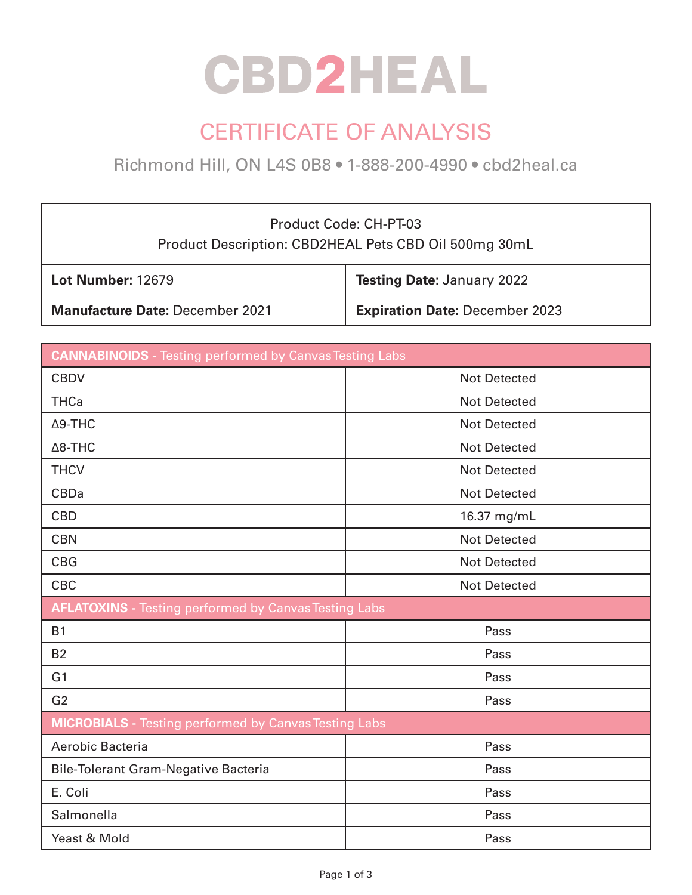# **CBD2HEAL**

### CERTIFICATE OF ANALYSIS

Richmond Hill, ON L4S 0B8 • 1-888-200-4990 • cbd2heal.ca

### Product Code: CH-PT-03 Product Description: CBD2HEAL Pets CBD Oil 500mg 30mL

| <b>Lot Number: 12679</b>               | <b>Testing Date: January 2022</b>     |
|----------------------------------------|---------------------------------------|
| <b>Manufacture Date: December 2021</b> | <b>Expiration Date: December 2023</b> |

| <b>CANNABINOIDS</b> - Testing performed by Canvas Testing Labs |                     |  |  |
|----------------------------------------------------------------|---------------------|--|--|
| <b>CBDV</b>                                                    | <b>Not Detected</b> |  |  |
| <b>THCa</b>                                                    | <b>Not Detected</b> |  |  |
| $\Delta$ 9-THC                                                 | <b>Not Detected</b> |  |  |
| $\Delta$ 8-THC                                                 | <b>Not Detected</b> |  |  |
| <b>THCV</b>                                                    | <b>Not Detected</b> |  |  |
| <b>CBDa</b>                                                    | <b>Not Detected</b> |  |  |
| <b>CBD</b>                                                     | 16.37 mg/mL         |  |  |
| <b>CBN</b>                                                     | <b>Not Detected</b> |  |  |
| <b>CBG</b>                                                     | <b>Not Detected</b> |  |  |
| <b>CBC</b>                                                     | <b>Not Detected</b> |  |  |
| <b>AFLATOXINS</b> - Testing performed by Canvas Testing Labs   |                     |  |  |
| <b>B1</b>                                                      | Pass                |  |  |
| <b>B2</b>                                                      | Pass                |  |  |
| G <sub>1</sub>                                                 | Pass                |  |  |
| G <sub>2</sub>                                                 | Pass                |  |  |
| <b>MICROBIALS</b> - Testing performed by Canvas Testing Labs   |                     |  |  |
| Aerobic Bacteria                                               | Pass                |  |  |
| <b>Bile-Tolerant Gram-Negative Bacteria</b>                    | Pass                |  |  |
| E. Coli                                                        | Pass                |  |  |
| Salmonella                                                     | Pass                |  |  |
| Yeast & Mold                                                   | Pass                |  |  |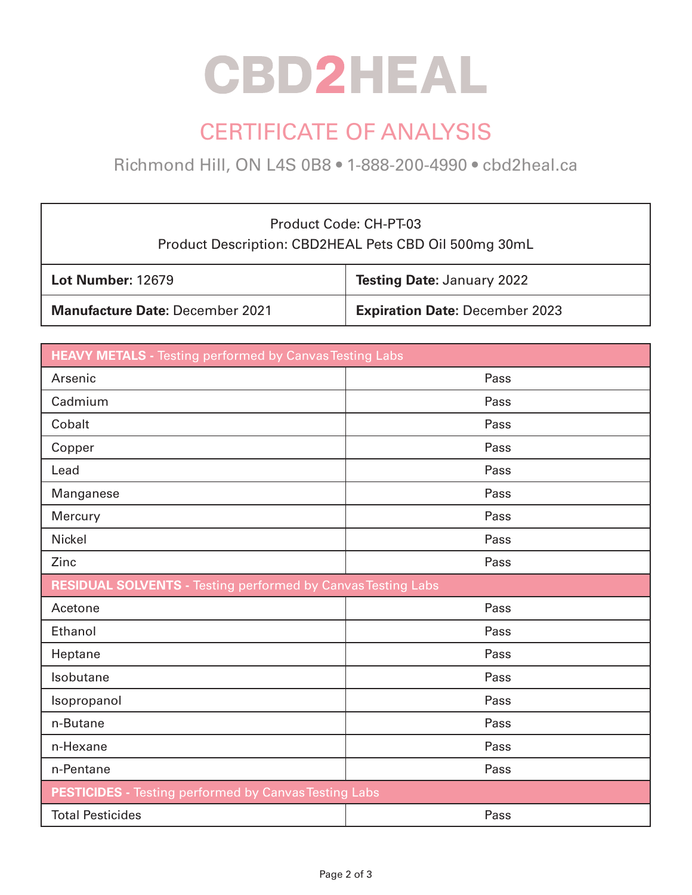# **CBD2HEAL**

### CERTIFICATE OF ANALYSIS

Richmond Hill, ON L4S 0B8 • 1-888-200-4990 • cbd2heal.ca

| Product Code: CH-PT-03<br>Product Description: CBD2HEAL Pets CBD Oil 500mg 30mL |                                       |  |
|---------------------------------------------------------------------------------|---------------------------------------|--|
| <b>Lot Number: 12679</b>                                                        | <b>Testing Date: January 2022</b>     |  |
| <b>Manufacture Date: December 2021</b>                                          | <b>Expiration Date: December 2023</b> |  |

| <b>HEAVY METALS -</b> Testing performed by Canvas Testing Labs      |      |  |
|---------------------------------------------------------------------|------|--|
| Arsenic                                                             | Pass |  |
| Cadmium                                                             | Pass |  |
| Cobalt                                                              | Pass |  |
| Copper                                                              | Pass |  |
| Lead                                                                | Pass |  |
| Manganese                                                           | Pass |  |
| Mercury                                                             | Pass |  |
| <b>Nickel</b>                                                       | Pass |  |
| Zinc                                                                | Pass |  |
| <b>RESIDUAL SOLVENTS - Testing performed by Canvas Testing Labs</b> |      |  |
| Acetone                                                             | Pass |  |
| Ethanol                                                             | Pass |  |
| Heptane                                                             | Pass |  |
| Isobutane                                                           | Pass |  |
| Isopropanol                                                         | Pass |  |
| n-Butane                                                            | Pass |  |
| n-Hexane                                                            | Pass |  |
| n-Pentane                                                           | Pass |  |
| <b>PESTICIDES</b> - Testing performed by Canvas Testing Labs        |      |  |
| <b>Total Pesticides</b>                                             | Pass |  |